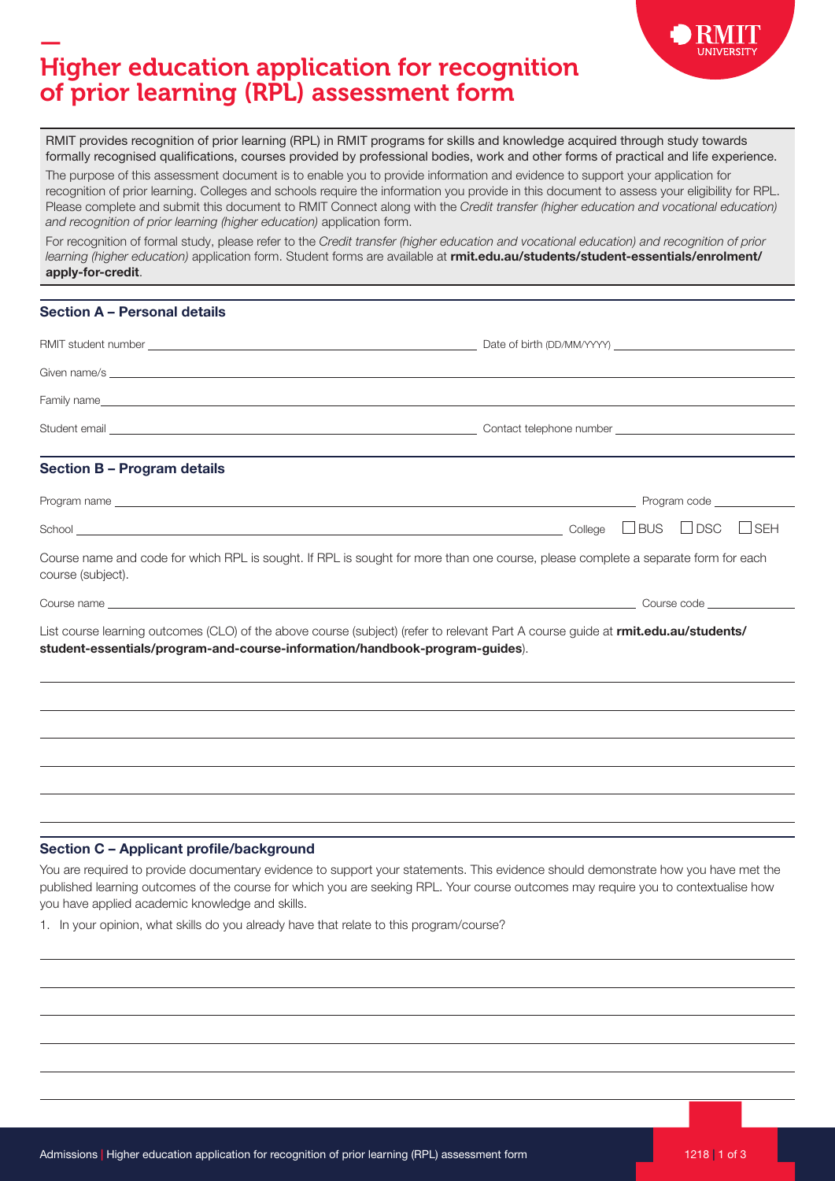

## — Higher education application for recognition of prior learning (RPL) assessment form

RMIT provides recognition of prior learning (RPL) in RMIT programs for skills and knowledge acquired through study towards formally recognised qualifications, courses provided by professional bodies, work and other forms of practical and life experience.

The purpose of this assessment document is to enable you to provide information and evidence to support your application for recognition of prior learning. Colleges and schools require the information you provide in this document to assess your eligibility for RPL. Please complete and submit this document to RMIT Connect along with the Credit transfer (higher education and vocational education) and recognition of prior learning (higher education) application form.

For recognition of formal study, please refer to the Credit transfer (higher education and vocational education) and recognition of prior learning (higher education) application form. Student forms are available at [rmit.edu.au/students/student-essentials/enrolment/](https://www.rmit.edu.au/students/student-essentials/enrolment/apply-for-credit) [apply-for-credit](https://www.rmit.edu.au/students/student-essentials/enrolment/apply-for-credit).

## Section A – Personal details

| <b>Section B - Program details</b>                                                                                                                                                                               |  |
|------------------------------------------------------------------------------------------------------------------------------------------------------------------------------------------------------------------|--|
|                                                                                                                                                                                                                  |  |
| $\text{School}$ $\text{DSC}$ $\Box$ $\text{SEH}$                                                                                                                                                                 |  |
| Course name and code for which RPL is sought. If RPL is sought for more than one course, please complete a separate form for each<br>course (subject).                                                           |  |
|                                                                                                                                                                                                                  |  |
| List course learning outcomes (CLO) of the above course (subject) (refer to relevant Part A course guide at rmit.edu.au/students/<br>student-essentials/program-and-course-information/handbook-program-guides). |  |
|                                                                                                                                                                                                                  |  |
|                                                                                                                                                                                                                  |  |
| Section C - Applicant profile/background                                                                                                                                                                         |  |

You are required to provide documentary evidence to support your statements. This evidence should demonstrate how you have met the published learning outcomes of the course for which you are seeking RPL. Your course outcomes may require you to contextualise how you have applied academic knowledge and skills.

1. In your opinion, what skills do you already have that relate to this program/course?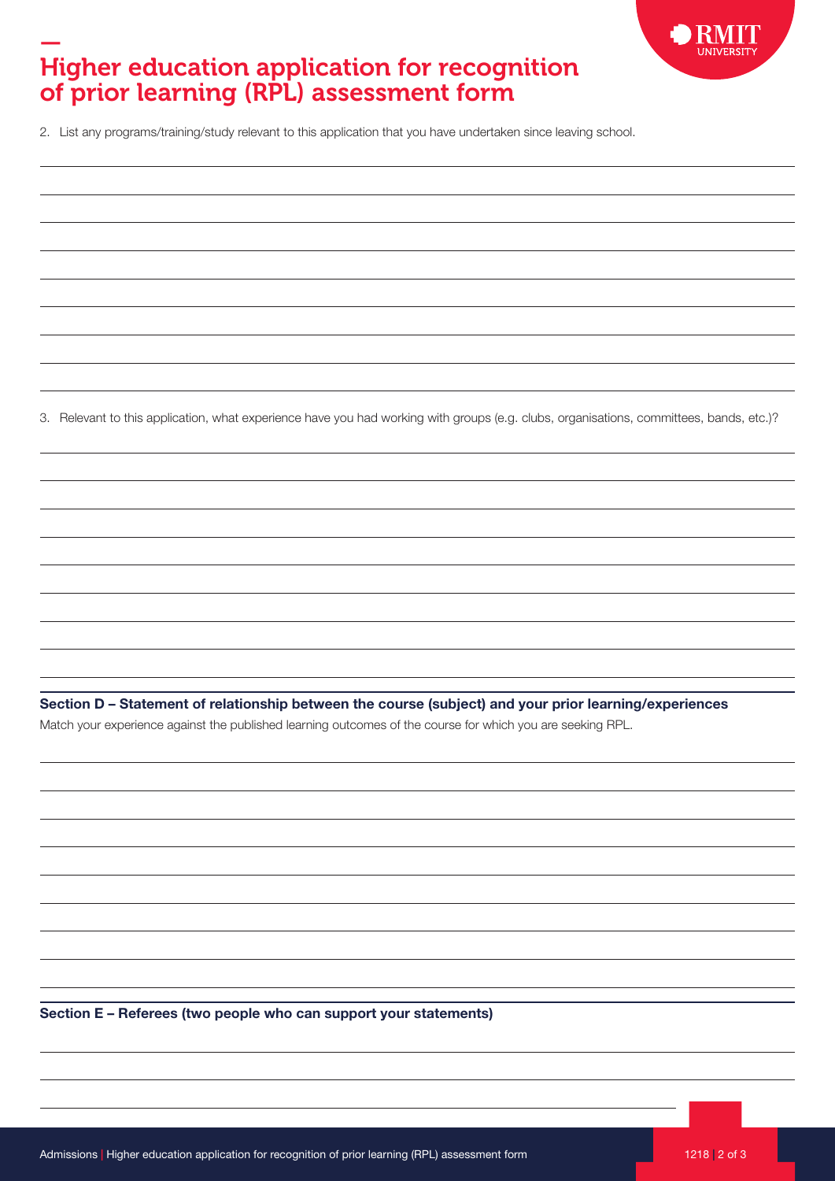

## — Higher education application for recognition of prior learning (RPL) assessment form

 $\overline{a}$ 

 $\overline{a}$ 

 $\overline{a}$ 

 $\overline{a}$ 

2. List any programs/training/study relevant to this application that you have undertaken since leaving school.

3. Relevant to this application, what experience have you had working with groups (e.g. clubs, organisations, committees, bands, etc.)?

Section D – Statement of relationship between the course (subject) and your prior learning/experiences

Match your experience against the published learning outcomes of the course for which you are seeking RPL.

Section E – Referees (two people who can support your statements)